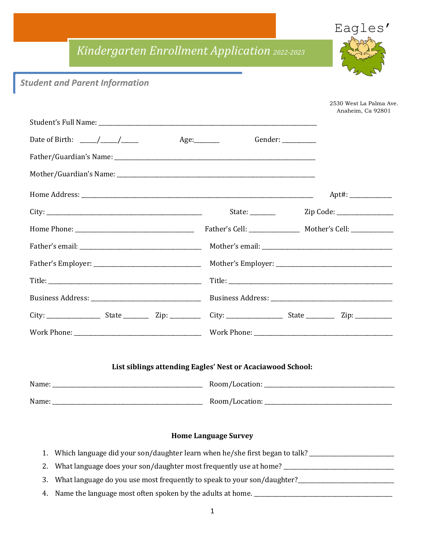## *Kindergarten Enrollment Application 2022-2023*



## *Student and Parent Information*

|                                                                                                                                        |                                                            | 2530 West La Palma Ave.<br>Anaheim, Ca 92801 |
|----------------------------------------------------------------------------------------------------------------------------------------|------------------------------------------------------------|----------------------------------------------|
|                                                                                                                                        |                                                            |                                              |
|                                                                                                                                        | Gender: _________                                          |                                              |
|                                                                                                                                        |                                                            |                                              |
|                                                                                                                                        |                                                            |                                              |
|                                                                                                                                        |                                                            |                                              |
|                                                                                                                                        |                                                            |                                              |
|                                                                                                                                        |                                                            |                                              |
|                                                                                                                                        |                                                            |                                              |
|                                                                                                                                        |                                                            |                                              |
|                                                                                                                                        |                                                            |                                              |
|                                                                                                                                        |                                                            |                                              |
| City: ________________________State _______________Zip: _________________City: _______________________________ State _________________ |                                                            |                                              |
|                                                                                                                                        |                                                            |                                              |
|                                                                                                                                        |                                                            |                                              |
|                                                                                                                                        | List siblings attending Eagles' Nest or Acaciawood School: |                                              |
|                                                                                                                                        |                                                            |                                              |
|                                                                                                                                        |                                                            |                                              |
|                                                                                                                                        |                                                            |                                              |
|                                                                                                                                        | <b>Home Language Survey</b>                                |                                              |
| Which language did your son/daughter learn when he/she first began to talk? _______________________<br>1.                              |                                                            |                                              |
| What language does your son/daughter most frequently use at home? __________________________________<br>2.                             |                                                            |                                              |
| What language do you use most frequently to speak to your son/daughter?____________________________<br>3.                              |                                                            |                                              |
| 4.                                                                                                                                     |                                                            |                                              |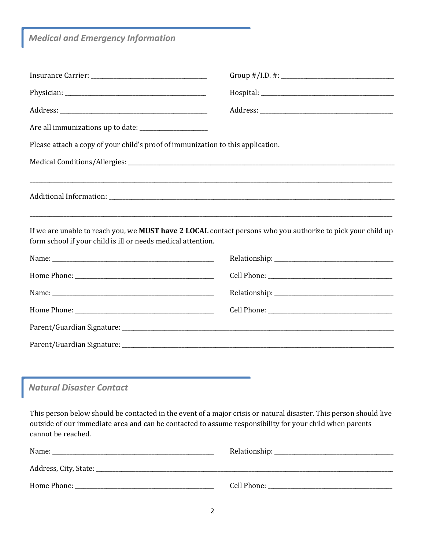*Medical and Emergency Information*

ſ

| Please attach a copy of your child's proof of immunization to this application. |                                                                                                                                                                                                                              |
|---------------------------------------------------------------------------------|------------------------------------------------------------------------------------------------------------------------------------------------------------------------------------------------------------------------------|
|                                                                                 |                                                                                                                                                                                                                              |
|                                                                                 |                                                                                                                                                                                                                              |
| form school if your child is ill or needs medical attention.                    | If we are unable to reach you, we MUST have 2 LOCAL contact persons who you authorize to pick your child up                                                                                                                  |
|                                                                                 |                                                                                                                                                                                                                              |
|                                                                                 |                                                                                                                                                                                                                              |
|                                                                                 |                                                                                                                                                                                                                              |
|                                                                                 |                                                                                                                                                                                                                              |
|                                                                                 |                                                                                                                                                                                                                              |
|                                                                                 |                                                                                                                                                                                                                              |
|                                                                                 |                                                                                                                                                                                                                              |
| <b>Natural Disaster Contact</b>                                                 |                                                                                                                                                                                                                              |
| cannot be reached.                                                              | This person below should be contacted in the event of a major crisis or natural disaster. This person should live<br>outside of our immediate area and can be contacted to assume responsibility for your child when parents |
|                                                                                 |                                                                                                                                                                                                                              |
|                                                                                 |                                                                                                                                                                                                                              |
|                                                                                 |                                                                                                                                                                                                                              |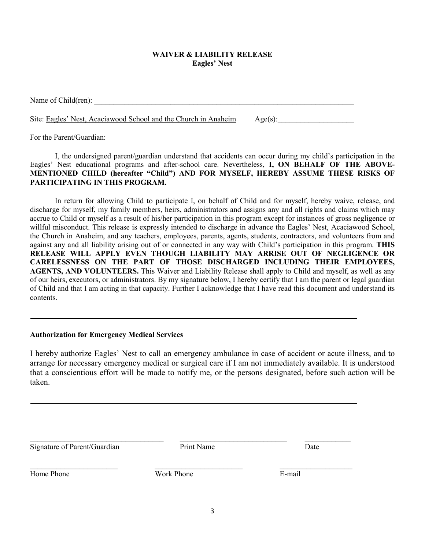## **WAIVER & LIABILITY RELEASE Eagles' Nest**

Name of Child(ren):

Site: Eagles' Nest, Acaciawood School and the Church in Anaheim  $\qquad$  Age(s):

For the Parent/Guardian:

I, the undersigned parent/guardian understand that accidents can occur during my child's participation in the Eagles' Nest educational programs and after-school care. Nevertheless, **I, ON BEHALF OF THE ABOVE-MENTIONED CHILD (hereafter "Child") AND FOR MYSELF, HEREBY ASSUME THESE RISKS OF PARTICIPATING IN THIS PROGRAM.**

In return for allowing Child to participate I, on behalf of Child and for myself, hereby waive, release, and discharge for myself, my family members, heirs, administrators and assigns any and all rights and claims which may accrue to Child or myself as a result of his/her participation in this program except for instances of gross negligence or willful misconduct. This release is expressly intended to discharge in advance the Eagles' Nest, Acaciawood School, the Church in Anaheim, and any teachers, employees, parents, agents, students, contractors, and volunteers from and against any and all liability arising out of or connected in any way with Child's participation in this program. **THIS RELEASE WILL APPLY EVEN THOUGH LIABILITY MAY ARRISE OUT OF NEGLIGENCE OR CARELESSNESS ON THE PART OF THOSE DISCHARGED INCLUDING THEIR EMPLOYEES, AGENTS, AND VOLUNTEERS.** This Waiver and Liability Release shall apply to Child and myself, as well as any of our heirs, executors, or administrators. By my signature below, I hereby certify that I am the parent or legal guardian of Child and that I am acting in that capacity. Further I acknowledge that I have read this document and understand its contents.

## **Authorization for Emergency Medical Services**

I hereby authorize Eagles' Nest to call an emergency ambulance in case of accident or acute illness, and to arrange for necessary emergency medical or surgical care if I am not immediately available. It is understood that a conscientious effort will be made to notify me, or the persons designated, before such action will be taken.

Print Name Date

\_\_\_\_\_\_\_\_\_\_\_\_\_\_\_\_\_\_\_\_\_\_\_\_\_\_\_\_\_\_\_\_\_\_\_ \_\_\_\_\_\_\_\_\_\_\_\_\_\_\_\_\_\_\_\_\_\_\_\_\_\_\_\_ \_\_\_\_\_\_\_\_\_\_\_\_

Home Phone **E-mail** 

 $\_$  , and the contribution of  $\_$  . The contribution of  $\_$  , and  $\_$  , and  $\_$  , and  $\_$  , and  $\_$  , and  $\_$